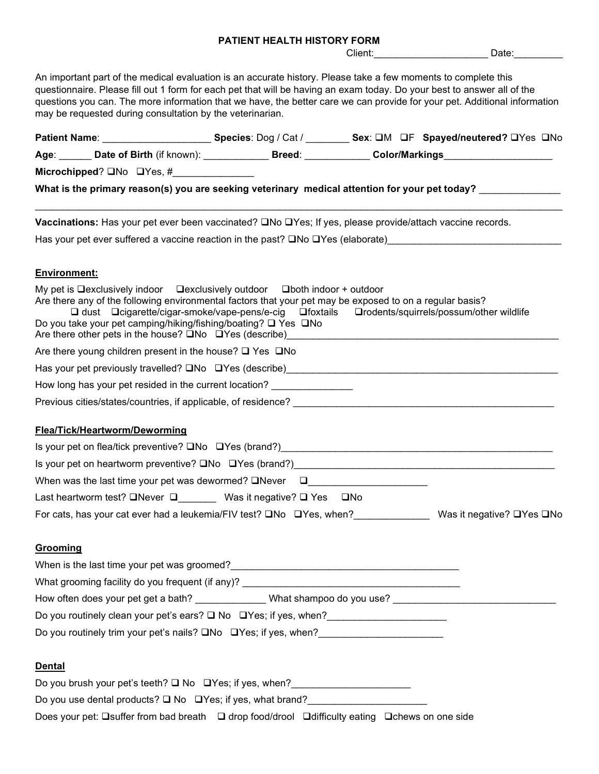#### PATIENT HEALTH HISTORY FORM

Client: etc. Date:

An important part of the medical evaluation is an accurate history. Please take a few moments to complete this questionnaire. Please fill out 1 form for each pet that will be having an exam today. Do your best to answer all of the questions you can. The more information that we have, the better care we can provide for your pet. Additional information may be requested during consultation by the veterinarian. Patient Name: \_\_\_\_\_\_\_\_\_\_\_\_\_\_\_\_\_\_\_\_\_\_\_\_\_\_Species: Dog / Cat / \_\_\_\_\_\_\_\_\_\_ Sex: OM OF Spayed/neutered? OYes ONo Age: \_\_\_\_\_\_ Date of Birth (if known): \_\_\_\_\_\_\_\_\_\_\_\_\_ Breed: \_\_\_\_\_\_\_\_\_\_\_ Color/Markings\_\_\_\_\_\_\_\_\_\_\_\_\_\_\_\_\_\_\_\_ Microchipped?  $\square$ No  $\square$ Yes, # What is the primary reason(s) you are seeking veterinary medical attention for your pet today? Vaccinations: Has your pet ever been vaccinated?  $\square$ No  $\square$ Yes; If yes, please provide/attach vaccine records. Has your pet ever suffered a vaccine reaction in the past?  $\square$ No  $\square$ Yes (elaborate) Environment: My pet is  $\Box$  exclusively indoor  $\Box$  exclusively outdoor  $\Box$  both indoor + outdoor Are there any of the following environmental factors that your pet may be exposed to on a regular basis?  $\Box$  dust  $\Box$ cigarette/cigar-smoke/vape-pens/e-cig  $\Box$  foxtails  $\Box$  rodents/squirrels/possum/other wildlife Do you take your pet camping/hiking/fishing/boating?  $\Box$  Yes  $\Box$ No Are there other pets in the house?  $\Box$  No  $\Box$  Yes (describe) Are there young children present in the house?  $\Box$  Yes  $\Box$  No Has your pet previously travelled?  $\square$  No  $\square$  Yes (describe) How long has your pet resided in the current location? \_\_\_\_\_\_\_\_\_\_\_\_\_\_\_\_\_\_\_\_\_\_\_\_\_ Previous cities/states/countries, if applicable, of residence? Flea/Tick/Heartworm/Deworming Is your pet on flea/tick preventive?  $\square$  No  $\square$  Yes (brand?) Is your pet on heartworm preventive?  $\square$ No  $\square$ Yes (brand?) When was the last time your pet was dewormed?  $\square$  Never  $\square$ Last heartworm test?  $\square$  Never  $\square$  Was it negative?  $\square$  Yes  $\square$  No For cats, has your cat ever had a leukemia/FIV test? **QNo QYes, when?** Was it negative? QYes QNo Grooming When is the last time your pet was groomed? What grooming facility do you frequent (if any)? How often does your pet get a bath? \_\_\_\_\_\_\_\_\_\_\_\_\_ What shampoo do you use? \_\_\_\_\_\_\_\_\_\_\_\_\_\_\_\_\_\_\_\_\_\_\_\_\_\_\_\_\_\_ Do you routinely clean your pet's ears?  $\Box$  No  $\Box$  Yes; if yes, when? Do you routinely trim your pet's nails?  $\square$ No  $\square$ Yes; if yes, when?<br>

# **Dental**

Do you brush your pet's teeth?  $\Box$  No  $\Box$  Yes; if yes, when? Do you use dental products?  $\square$  No  $\square$  Yes; if yes, what brand? Does your pet:  $\square$ suffer from bad breath  $\square$  drop food/drool  $\square$ difficulty eating  $\square$ chews on one side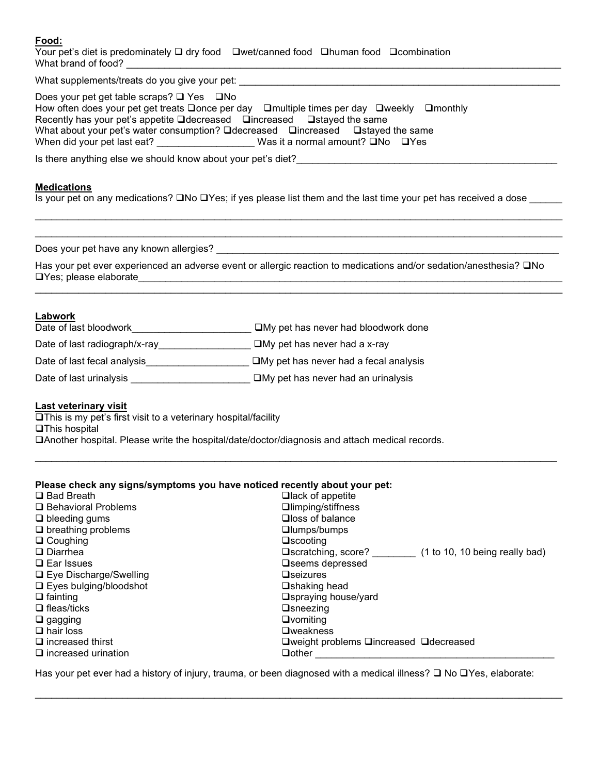## Food:

| Your pet's diet is predominately $\Box$ dry food $\Box$ Wet/canned food $\Box$ human food $\Box$ combination |  |  |
|--------------------------------------------------------------------------------------------------------------|--|--|
| What brand of food?                                                                                          |  |  |

| What supplements/treats do you give your pet:                                                                     |
|-------------------------------------------------------------------------------------------------------------------|
| Does your pet get table scraps? $\Box$ Yes $\Box$ No                                                              |
| How often does your pet get treats $\Box$ once per day $\Box$ multiple times per day $\Box$ weekly $\Box$ monthly |
| Recently has your pet's appetite $\Box$ decreased $\Box$ increased $\Box$ stayed the same                         |
| What about your pet's water consumption? □ decreased □ increased □ stayed the same                                |
| Was it a normal amount? $\square$ No $\square$ Yes<br>When did your pet last eat?                                 |
| In there enviting also we should know about your pot's diat?                                                      |

Is there anything else we should know about your pet's diet?

#### **Medications**

Is your pet on any medications?  $\Box$  No  $\Box$  Yes; if yes please list them and the last time your pet has received a dose

 $\mathcal{L}_\mathcal{L} = \{ \mathcal{L}_\mathcal{L} = \{ \mathcal{L}_\mathcal{L} = \{ \mathcal{L}_\mathcal{L} = \{ \mathcal{L}_\mathcal{L} = \{ \mathcal{L}_\mathcal{L} = \{ \mathcal{L}_\mathcal{L} = \{ \mathcal{L}_\mathcal{L} = \{ \mathcal{L}_\mathcal{L} = \{ \mathcal{L}_\mathcal{L} = \{ \mathcal{L}_\mathcal{L} = \{ \mathcal{L}_\mathcal{L} = \{ \mathcal{L}_\mathcal{L} = \{ \mathcal{L}_\mathcal{L} = \{ \mathcal{L}_\mathcal{$  $\mathcal{L}_\mathcal{L} = \{ \mathcal{L}_\mathcal{L} = \{ \mathcal{L}_\mathcal{L} = \{ \mathcal{L}_\mathcal{L} = \{ \mathcal{L}_\mathcal{L} = \{ \mathcal{L}_\mathcal{L} = \{ \mathcal{L}_\mathcal{L} = \{ \mathcal{L}_\mathcal{L} = \{ \mathcal{L}_\mathcal{L} = \{ \mathcal{L}_\mathcal{L} = \{ \mathcal{L}_\mathcal{L} = \{ \mathcal{L}_\mathcal{L} = \{ \mathcal{L}_\mathcal{L} = \{ \mathcal{L}_\mathcal{L} = \{ \mathcal{L}_\mathcal{$ 

Does your pet have any known allergies?

Has your pet ever experienced an adverse event or allergic reaction to medications and/or sedation/anesthesia? QNo Yes; please elaborate\_\_\_\_\_\_\_\_\_\_\_\_\_\_\_\_\_\_\_\_\_\_\_\_\_\_\_\_\_\_\_\_\_\_\_\_\_\_\_\_\_\_\_\_\_\_\_\_\_\_\_\_\_\_\_\_\_\_\_\_\_\_\_\_\_\_\_\_\_\_\_\_\_\_\_\_\_\_

#### **Labwork**

| Date of last bloodwork        | $\square$ My pet has never had bloodwork done   |
|-------------------------------|-------------------------------------------------|
| Date of last radiograph/x-ray | $\square$ My pet has never had a x-ray          |
| Date of last fecal analysis   | $\square$ My pet has never had a fecal analysis |
| Date of last urinalysis       | $\square$ My pet has never had an urinalysis    |

## Last veterinary visit

This is my pet's first visit to a veterinary hospital/facility **QThis hospital** Another hospital. Please write the hospital/date/doctor/diagnosis and attach medical records.

## Please check any signs/symptoms you have noticed recently about your pet:

| $\square$ Bad Breath          | $\Box$ lack of appetite                 |                                |
|-------------------------------|-----------------------------------------|--------------------------------|
| □ Behavioral Problems         | □limping/stiffness                      |                                |
| $\Box$ bleeding gums          | $\Box$ loss of balance                  |                                |
| $\Box$ breathing problems     | $\Box$ lumps/bumps                      |                                |
| $\Box$ Coughing               | $\square$ scooting                      |                                |
| $\Box$ Diarrhea               | $\Box$ scratching, score?               | (1 to 10, 10 being really bad) |
| $\Box$ Ear Issues             | <b>□</b> seems depressed                |                                |
| $\Box$ Eye Discharge/Swelling | $\Box$ seizures                         |                                |
| $\Box$ Eyes bulging/bloodshot | <b>□</b> shaking head                   |                                |
| $\Box$ fainting               | □spraying house/yard                    |                                |
| $\Box$ fleas/ticks            | $\Box$ sneezing                         |                                |
| $\Box$ gagging                | $\Box$ vomiting                         |                                |
| $\Box$ hair loss              | $D$ weakness                            |                                |
| $\Box$ increased thirst       | □weight problems □increased □ decreased |                                |
| $\Box$ increased urination    | $\Box$ other                            |                                |
|                               |                                         |                                |

Has your pet ever had a history of injury, trauma, or been diagnosed with a medical illness?  $\Box$  No  $\Box$ Yes, elaborate: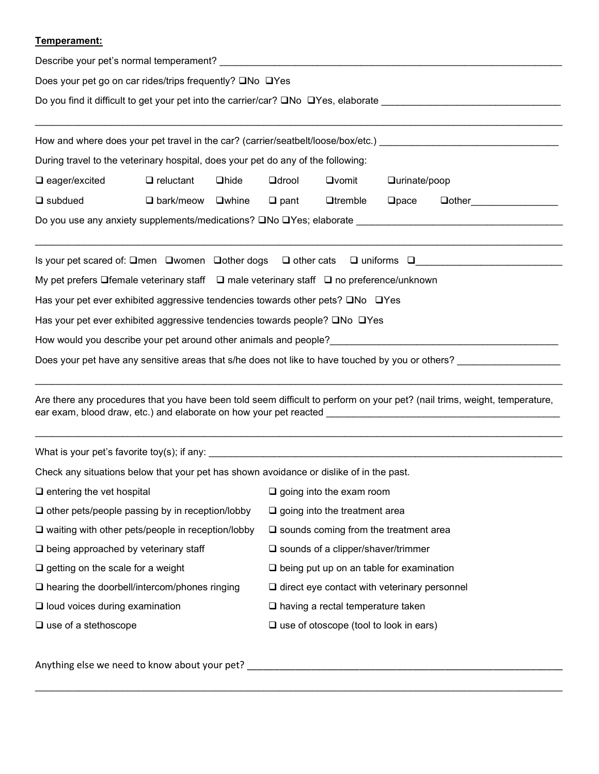# Temperament:

| Does your pet go on car rides/trips frequently? □No □Yes<br>Do you find it difficult to get your pet into the carrier/car? DNo DYes, elaborate _____________________________ |                                                                                    |  |                |                                          |             |                                                                                                                                       |                                                                                  |  |  |  |  |  |                                                                                  |
|------------------------------------------------------------------------------------------------------------------------------------------------------------------------------|------------------------------------------------------------------------------------|--|----------------|------------------------------------------|-------------|---------------------------------------------------------------------------------------------------------------------------------------|----------------------------------------------------------------------------------|--|--|--|--|--|----------------------------------------------------------------------------------|
|                                                                                                                                                                              |                                                                                    |  |                |                                          |             |                                                                                                                                       |                                                                                  |  |  |  |  |  | How and where does your pet travel in the car? (carrier/seatbelt/loose/box/etc.) |
|                                                                                                                                                                              |                                                                                    |  |                |                                          |             |                                                                                                                                       | During travel to the veterinary hospital, does your pet do any of the following: |  |  |  |  |  |                                                                                  |
| $\square$ eager/excited                                                                                                                                                      | $\Box$ reluctant<br>$\Box$ hide<br><b>Q</b> drool<br>$\Box$ vomit<br>□urinate/poop |  |                |                                          |             |                                                                                                                                       |                                                                                  |  |  |  |  |  |                                                                                  |
| $\Box$ subdued                                                                                                                                                               | $\Box$ bark/meow $\Box$ whine                                                      |  | $\square$ pant | $\Box$ tremble                           | $\Box$ pace | □other__________________                                                                                                              |                                                                                  |  |  |  |  |  |                                                                                  |
| Do you use any anxiety supplements/medications? □No □Yes; elaborate ________________________________                                                                         |                                                                                    |  |                |                                          |             |                                                                                                                                       |                                                                                  |  |  |  |  |  |                                                                                  |
|                                                                                                                                                                              |                                                                                    |  |                |                                          |             | Is your pet scared of: $\square$ men $\;\square$ women $\;\square$ other dogs $\;\square$ other cats $\;\square$ uniforms $\;\square$ |                                                                                  |  |  |  |  |  |                                                                                  |
| My pet prefers ❑female veterinary staff  ❑ male veterinary staff ❑ no preference/unknown                                                                                     |                                                                                    |  |                |                                          |             |                                                                                                                                       |                                                                                  |  |  |  |  |  |                                                                                  |
| Has your pet ever exhibited aggressive tendencies towards other pets? □No □Yes                                                                                               |                                                                                    |  |                |                                          |             |                                                                                                                                       |                                                                                  |  |  |  |  |  |                                                                                  |
| Has your pet ever exhibited aggressive tendencies towards people? □No □Yes                                                                                                   |                                                                                    |  |                |                                          |             |                                                                                                                                       |                                                                                  |  |  |  |  |  |                                                                                  |
|                                                                                                                                                                              |                                                                                    |  |                |                                          |             |                                                                                                                                       |                                                                                  |  |  |  |  |  |                                                                                  |
|                                                                                                                                                                              |                                                                                    |  |                |                                          |             | Does your pet have any sensitive areas that s/he does not like to have touched by you or others?                                      |                                                                                  |  |  |  |  |  |                                                                                  |
| Are there any procedures that you have been told seem difficult to perform on your pet? (nail trims, weight, temperature,                                                    |                                                                                    |  |                |                                          |             |                                                                                                                                       |                                                                                  |  |  |  |  |  |                                                                                  |
|                                                                                                                                                                              |                                                                                    |  |                |                                          |             |                                                                                                                                       |                                                                                  |  |  |  |  |  |                                                                                  |
| Check any situations below that your pet has shown avoidance or dislike of in the past.                                                                                      |                                                                                    |  |                |                                          |             |                                                                                                                                       |                                                                                  |  |  |  |  |  |                                                                                  |
| $\Box$ entering the vet hospital                                                                                                                                             |                                                                                    |  |                | $\Box$ going into the exam room          |             |                                                                                                                                       |                                                                                  |  |  |  |  |  |                                                                                  |
| $\Box$ other pets/people passing by in reception/lobby                                                                                                                       |                                                                                    |  |                | $\Box$ going into the treatment area     |             |                                                                                                                                       |                                                                                  |  |  |  |  |  |                                                                                  |
| $\square$ waiting with other pets/people in reception/lobby<br>$\square$ sounds coming from the treatment area                                                               |                                                                                    |  |                |                                          |             |                                                                                                                                       |                                                                                  |  |  |  |  |  |                                                                                  |
| $\Box$ being approached by veterinary staff<br>$\square$ sounds of a clipper/shaver/trimmer                                                                                  |                                                                                    |  |                |                                          |             |                                                                                                                                       |                                                                                  |  |  |  |  |  |                                                                                  |
| $\Box$ getting on the scale for a weight<br>$\square$ being put up on an table for examination                                                                               |                                                                                    |  |                |                                          |             |                                                                                                                                       |                                                                                  |  |  |  |  |  |                                                                                  |
| $\Box$ hearing the doorbell/intercom/phones ringing<br>$\Box$ direct eye contact with veterinary personnel                                                                   |                                                                                    |  |                |                                          |             |                                                                                                                                       |                                                                                  |  |  |  |  |  |                                                                                  |
| $\Box$ loud voices during examination                                                                                                                                        |                                                                                    |  |                | $\Box$ having a rectal temperature taken |             |                                                                                                                                       |                                                                                  |  |  |  |  |  |                                                                                  |
| $\square$ use of otoscope (tool to look in ears)<br>$\square$ use of a stethoscope                                                                                           |                                                                                    |  |                |                                          |             |                                                                                                                                       |                                                                                  |  |  |  |  |  |                                                                                  |

Anything else we need to know about your pet? \_\_\_\_\_\_\_\_\_\_\_\_\_\_\_\_\_\_\_\_\_\_\_\_\_\_\_\_\_\_\_\_\_\_\_\_\_\_\_\_\_\_\_\_\_\_\_\_\_\_\_\_\_\_\_\_\_\_\_